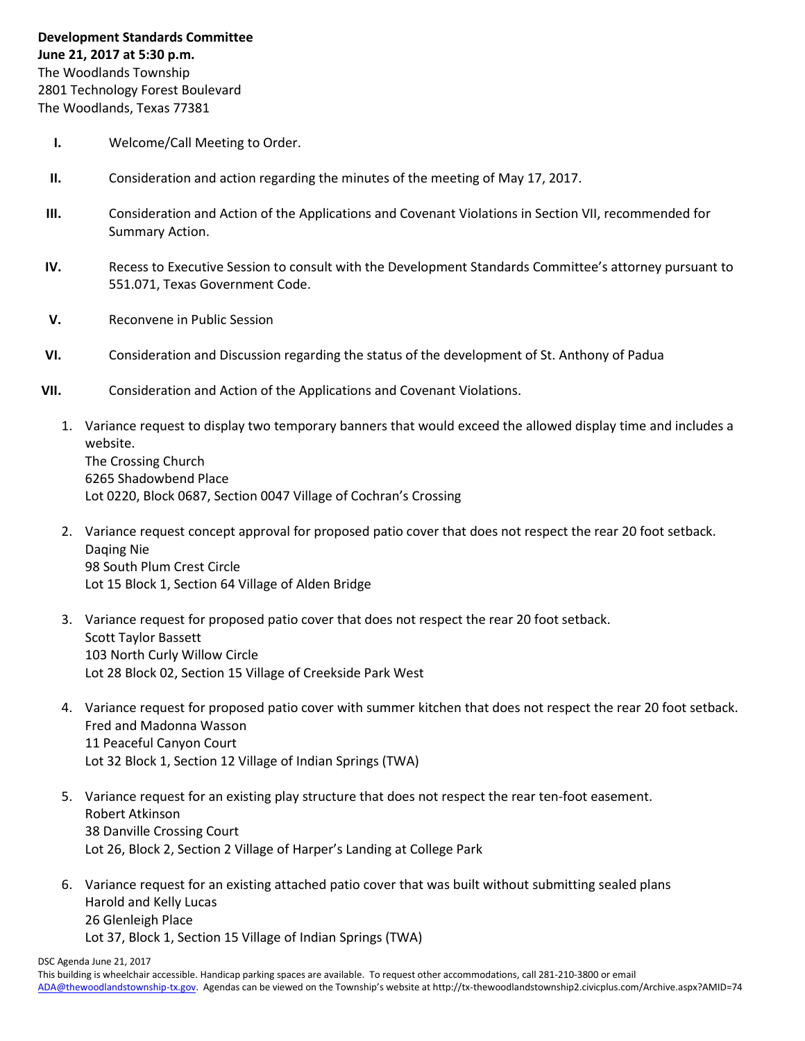The Woodlands, Texas 77381

- **I.** Welcome/Call Meeting to Order.
- **II.** Consideration and action regarding the minutes of the meeting of May 17, 2017.
- **III.** Consideration and Action of the Applications and Covenant Violations in Section VII, recommended for Summary Action.
- **IV.** Recess to Executive Session to consult with the Development Standards Committee's attorney pursuant to 551.071, Texas Government Code.
- **V.** Reconvene in Public Session
- **VI.** Consideration and Discussion regarding the status of the development of St. Anthony of Padua
- **VII.** Consideration and Action of the Applications and Covenant Violations.
	- 1. Variance request to display two temporary banners that would exceed the allowed display time and includes a website. The Crossing Church 6265 Shadowbend Place Lot 0220, Block 0687, Section 0047 Village of Cochran's Crossing
	- 2. Variance request concept approval for proposed patio cover that does not respect the rear 20 foot setback. Daqing Nie 98 South Plum Crest Circle Lot 15 Block 1, Section 64 Village of Alden Bridge
	- 3. Variance request for proposed patio cover that does not respect the rear 20 foot setback. Scott Taylor Bassett 103 North Curly Willow Circle Lot 28 Block 02, Section 15 Village of Creekside Park West
	- 4. Variance request for proposed patio cover with summer kitchen that does not respect the rear 20 foot setback. Fred and Madonna Wasson 11 Peaceful Canyon Court Lot 32 Block 1, Section 12 Village of Indian Springs (TWA)
	- 5. Variance request for an existing play structure that does not respect the rear ten-foot easement. Robert Atkinson 38 Danville Crossing Court Lot 26, Block 2, Section 2 Village of Harper's Landing at College Park
	- 6. Variance request for an existing attached patio cover that was built without submitting sealed plans Harold and Kelly Lucas 26 Glenleigh Place Lot 37, Block 1, Section 15 Village of Indian Springs (TWA)

DSC Agenda June 21, 2017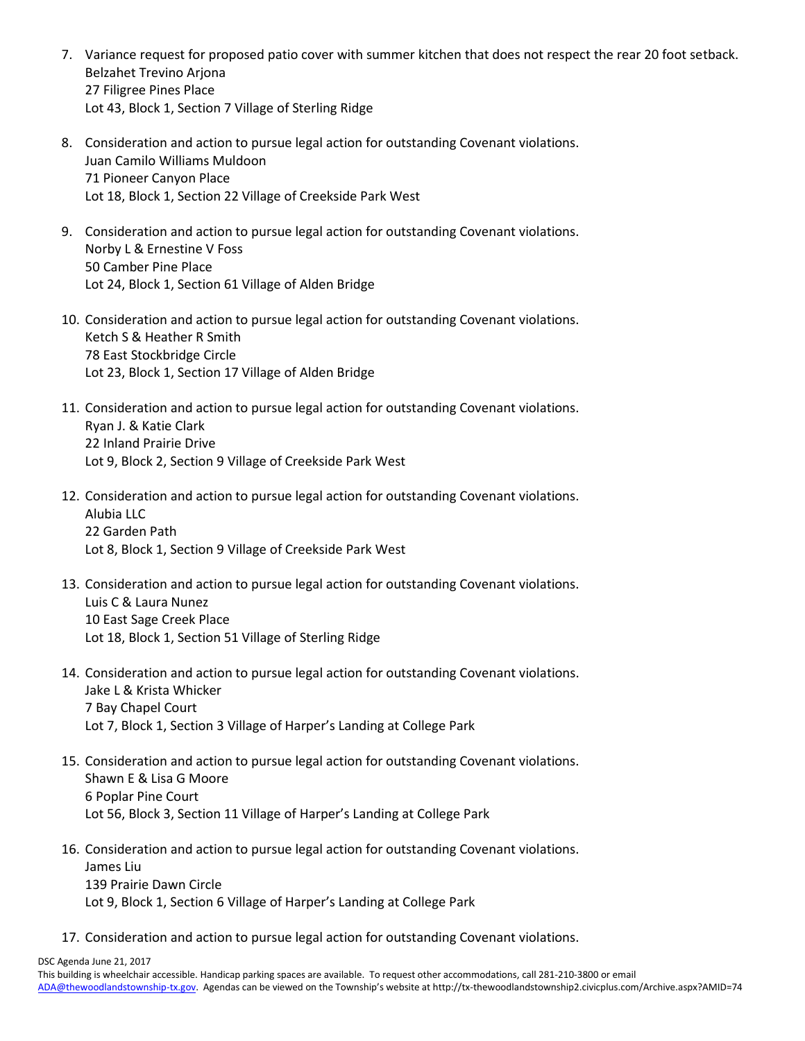- 7. Variance request for proposed patio cover with summer kitchen that does not respect the rear 20 foot setback. Belzahet Trevino Arjona 27 Filigree Pines Place Lot 43, Block 1, Section 7 Village of Sterling Ridge
- 8. Consideration and action to pursue legal action for outstanding Covenant violations. Juan Camilo Williams Muldoon 71 Pioneer Canyon Place Lot 18, Block 1, Section 22 Village of Creekside Park West
- 9. Consideration and action to pursue legal action for outstanding Covenant violations. Norby L & Ernestine V Foss 50 Camber Pine Place Lot 24, Block 1, Section 61 Village of Alden Bridge
- 10. Consideration and action to pursue legal action for outstanding Covenant violations. Ketch S & Heather R Smith 78 East Stockbridge Circle Lot 23, Block 1, Section 17 Village of Alden Bridge
- 11. Consideration and action to pursue legal action for outstanding Covenant violations. Ryan J. & Katie Clark 22 Inland Prairie Drive Lot 9, Block 2, Section 9 Village of Creekside Park West
- 12. Consideration and action to pursue legal action for outstanding Covenant violations. Alubia LLC 22 Garden Path Lot 8, Block 1, Section 9 Village of Creekside Park West
- 13. Consideration and action to pursue legal action for outstanding Covenant violations. Luis C & Laura Nunez 10 East Sage Creek Place Lot 18, Block 1, Section 51 Village of Sterling Ridge
- 14. Consideration and action to pursue legal action for outstanding Covenant violations. Jake L & Krista Whicker 7 Bay Chapel Court Lot 7, Block 1, Section 3 Village of Harper's Landing at College Park
- 15. Consideration and action to pursue legal action for outstanding Covenant violations. Shawn E & Lisa G Moore 6 Poplar Pine Court Lot 56, Block 3, Section 11 Village of Harper's Landing at College Park
- 16. Consideration and action to pursue legal action for outstanding Covenant violations. James Liu 139 Prairie Dawn Circle Lot 9, Block 1, Section 6 Village of Harper's Landing at College Park
- 17. Consideration and action to pursue legal action for outstanding Covenant violations.

DSC Agenda June 21, 2017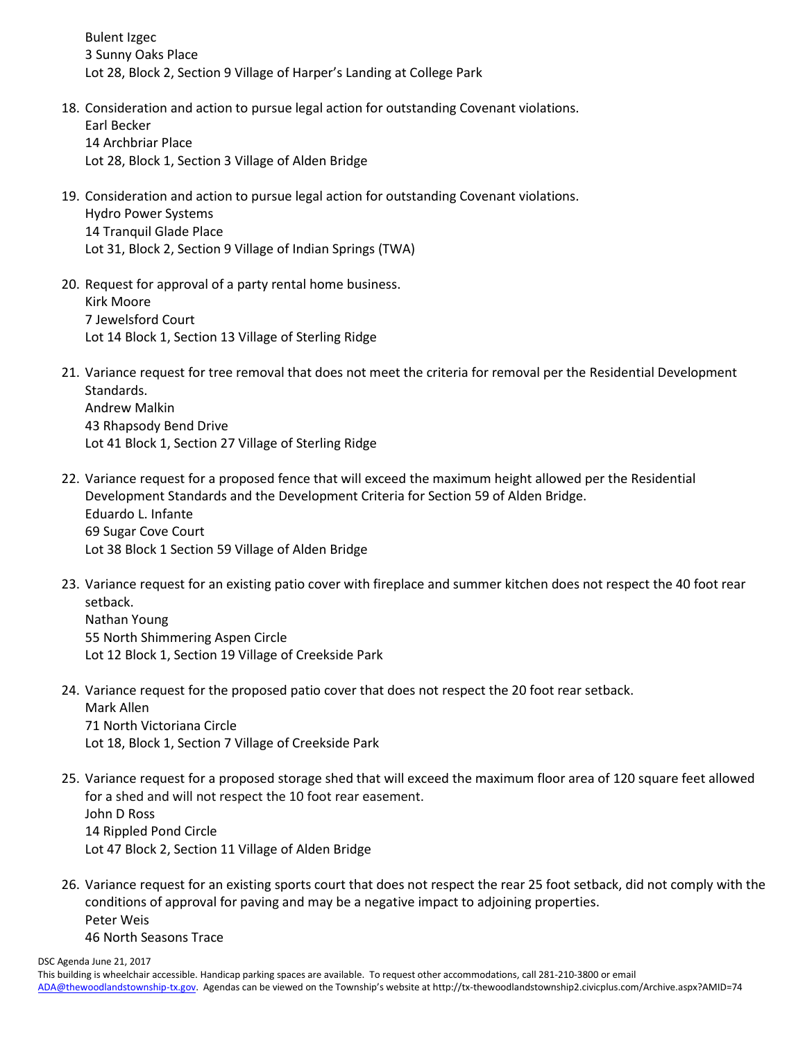Bulent Izgec 3 Sunny Oaks Place Lot 28, Block 2, Section 9 Village of Harper's Landing at College Park

- 18. Consideration and action to pursue legal action for outstanding Covenant violations. Earl Becker 14 Archbriar Place Lot 28, Block 1, Section 3 Village of Alden Bridge
- 19. Consideration and action to pursue legal action for outstanding Covenant violations. Hydro Power Systems 14 Tranquil Glade Place Lot 31, Block 2, Section 9 Village of Indian Springs (TWA)
- 20. Request for approval of a party rental home business. Kirk Moore 7 Jewelsford Court Lot 14 Block 1, Section 13 Village of Sterling Ridge
- 21. Variance request for tree removal that does not meet the criteria for removal per the Residential Development Standards. Andrew Malkin 43 Rhapsody Bend Drive Lot 41 Block 1, Section 27 Village of Sterling Ridge
- 22. Variance request for a proposed fence that will exceed the maximum height allowed per the Residential Development Standards and the Development Criteria for Section 59 of Alden Bridge. Eduardo L. Infante 69 Sugar Cove Court Lot 38 Block 1 Section 59 Village of Alden Bridge
- 23. Variance request for an existing patio cover with fireplace and summer kitchen does not respect the 40 foot rear setback. Nathan Young 55 North Shimmering Aspen Circle Lot 12 Block 1, Section 19 Village of Creekside Park
- 24. Variance request for the proposed patio cover that does not respect the 20 foot rear setback. Mark Allen 71 North Victoriana Circle Lot 18, Block 1, Section 7 Village of Creekside Park
- 25. Variance request for a proposed storage shed that will exceed the maximum floor area of 120 square feet allowed for a shed and will not respect the 10 foot rear easement. John D Ross 14 Rippled Pond Circle Lot 47 Block 2, Section 11 Village of Alden Bridge
- 26. Variance request for an existing sports court that does not respect the rear 25 foot setback, did not comply with the conditions of approval for paving and may be a negative impact to adjoining properties. Peter Weis 46 North Seasons Trace

DSC Agenda June 21, 2017